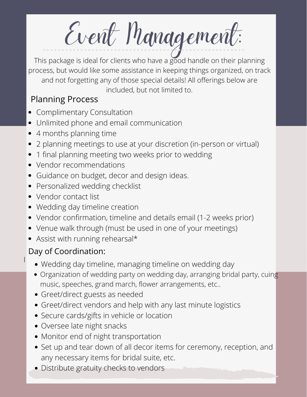Event Management:

This package is ideal for clients who have a good handle on their planning process, but would like some assistance in keeping things organized, on track and not forgetting any of those special details! All offerings below are included, but not limited to.

### Planning Process

- Complimentary Consultation
- Unlimited phone and email communication
- 4 months planning time
- 2 planning meetings to use at your discretion (in-person or virtual)
- 1 final planning meeting two weeks prior to wedding
- Vendor recommendations
- Guidance on budget, decor and design ideas.
- Personalized wedding checklist
- Vendor contact list
- Wedding day timeline creation
- Vendor confirmation, timeline and details email (1-2 weeks prior)
- Venue walk through (must be used in one of your meetings)
- Assist with running rehearsal\*

### Day of Coordination:

I

- Wedding day timeline, managing timeline on wedding day
- Organization of wedding party on wedding day, arranging bridal party, cuing music, speeches, grand march, flower arrangements, etc..
- Greet/direct guests as needed
- Greet/direct vendors and help with any last minute logistics
- Secure cards/gifts in vehicle or location
- Oversee late night snacks
- Monitor end of night transportation
- Set up and tear down of all decor items for ceremony, reception, and any necessary items for bridal suite, etc.
- Distribute gratuity checks to vendors